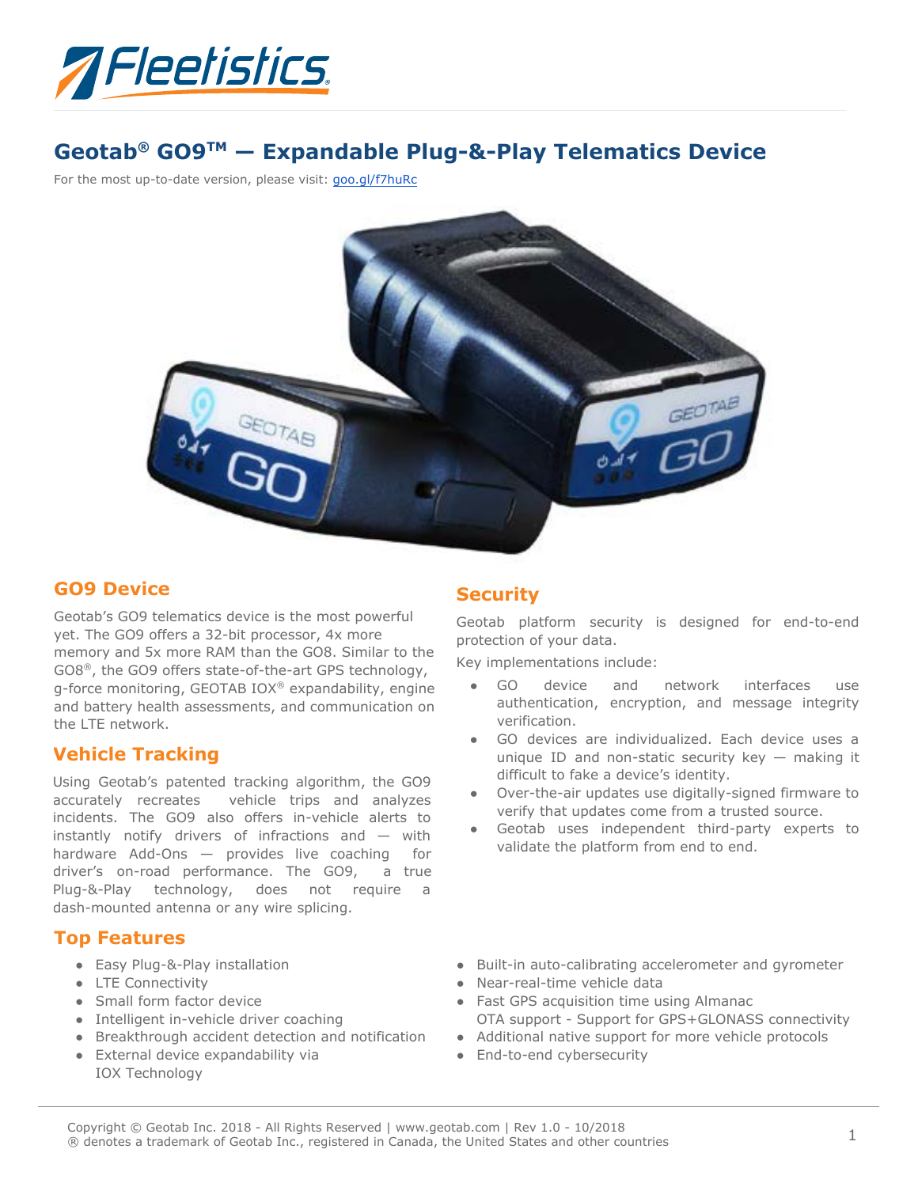

# **Geotab® GO9TM — Expandable Plug-&-Play Telematics Device**

For the most up-to-date version, please visit: goo.gl/f7huRc



### **GO9 Device**

Geotab's GO9 telematics device is the most powerful yet. The GO9 offers a 32-bit processor, 4x more memory and 5x more RAM than the GO8. Similar to the GO8®, the GO9 offers state-of-the-art GPS technology, g-force monitoring, GEOTAB IOX® expandability, engine and battery health assessments, and communication on the LTE network.

### **Vehicle Tracking**

Using Geotab's patented tracking algorithm, the GO9 accurately recreates vehicle trips and analyzes incidents. The GO9 also offers in-vehicle alerts to instantly notify drivers of infractions and — with hardware Add-Ons — provides live coaching for driver's on-road performance. The GO9, a true Plug-&-Play technology, does not require a dash-mounted antenna or any wire splicing.

### **Top Features**

- Easy Plug-&-Play installation
- LTE Connectivity
- Small form factor device
- Intelligent in-vehicle driver coaching
- Breakthrough accident detection and notification
- External device expandability via IOX Technology

### **Security**

Geotab platform security is designed for end-to-end protection of your data.

Key implementations include:

- GO device and network interfaces use authentication, encryption, and message integrity verification.
- GO devices are individualized. Each device uses a unique ID and non-static security key  $-$  making it difficult to fake a device's identity.
- Over-the-air updates use digitally-signed firmware to verify that updates come from a trusted source.
- Geotab uses independent third-party experts to validate the platform from end to end.
- Built-in auto-calibrating accelerometer and gyrometer
- Near-real-time vehicle data
- Fast GPS acquisition time using Almanac OTA support - Support for GPS+GLONASS connectivity
- Additional native support for more vehicle protocols
- End-to-end cybersecurity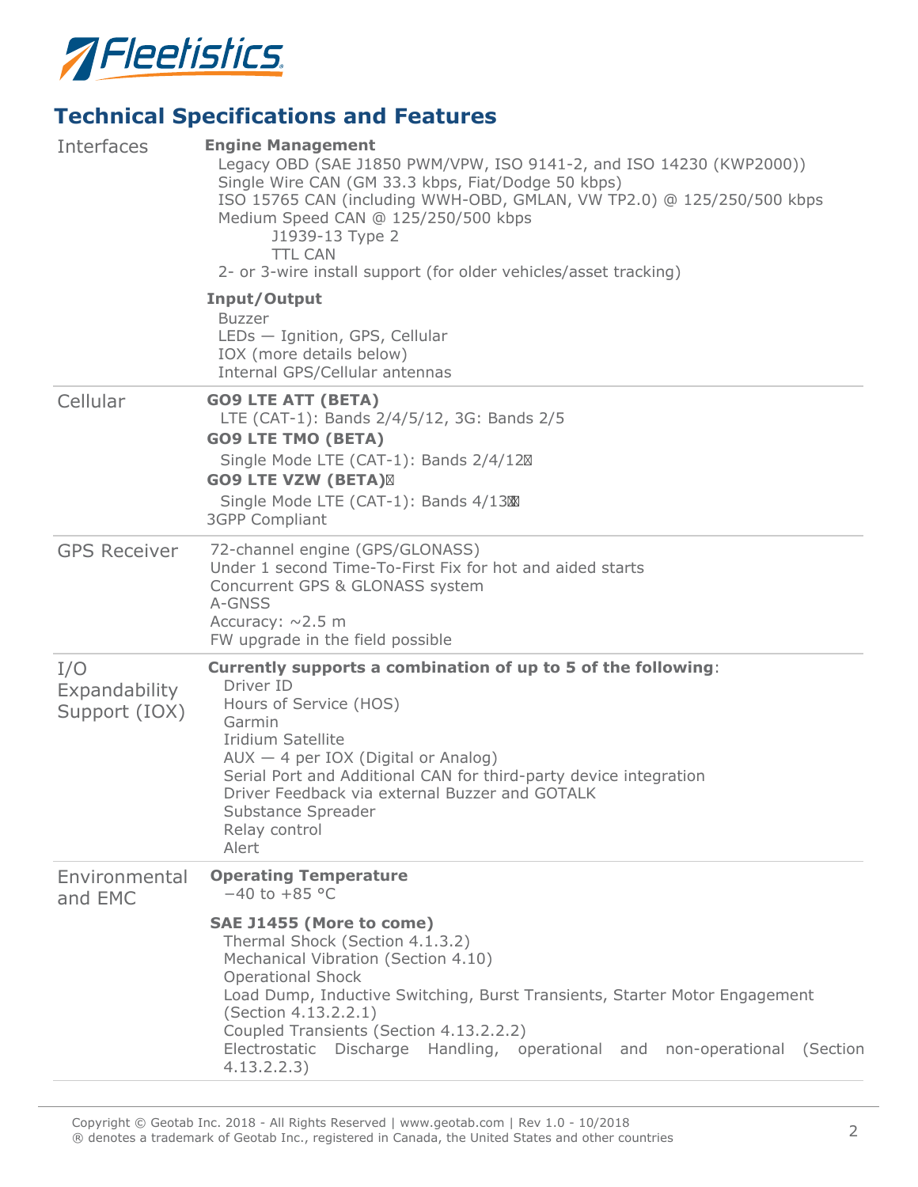

# **Technical Specifications and Features**

| Interfaces                            | <b>Engine Management</b><br>Legacy OBD (SAE J1850 PWM/VPW, ISO 9141-2, and ISO 14230 (KWP2000))<br>Single Wire CAN (GM 33.3 kbps, Fiat/Dodge 50 kbps)<br>ISO 15765 CAN (including WWH-OBD, GMLAN, VW TP2.0) @ 125/250/500 kbps<br>Medium Speed CAN @ 125/250/500 kbps<br>J1939-13 Type 2<br><b>TTL CAN</b><br>2- or 3-wire install support (for older vehicles/asset tracking) |
|---------------------------------------|--------------------------------------------------------------------------------------------------------------------------------------------------------------------------------------------------------------------------------------------------------------------------------------------------------------------------------------------------------------------------------|
|                                       | Input/Output<br><b>Buzzer</b><br>LEDs - Ignition, GPS, Cellular<br>IOX (more details below)<br>Internal GPS/Cellular antennas                                                                                                                                                                                                                                                  |
| Cellular                              | <b>GO9 LTE ATT (BETA)</b><br>LTE (CAT-1): Bands 2/4/5/12, 3G: Bands 2/5<br><b>GO9 LTE TMO (BETA)</b><br>Single Mode LTE (CAT-1): Bands 2/4/12<br><b>GO9 LTE VZW (BETA)</b><br>Single Mode LTE (CAT-1): Bands 4/13<br><b>3GPP Compliant</b>                                                                                                                                     |
| <b>GPS Receiver</b>                   | 72-channel engine (GPS/GLONASS)<br>Under 1 second Time-To-First Fix for hot and aided starts<br>Concurrent GPS & GLONASS system<br>A-GNSS<br>Accuracy: $\sim$ 2.5 m<br>FW upgrade in the field possible                                                                                                                                                                        |
| I/O<br>Expandability<br>Support (IOX) | Currently supports a combination of up to 5 of the following:<br>Driver ID<br>Hours of Service (HOS)<br>Garmin<br>Iridium Satellite<br>$AUX - 4$ per IOX (Digital or Analog)<br>Serial Port and Additional CAN for third-party device integration<br>Driver Feedback via external Buzzer and GOTALK<br>Substance Spreader<br>Relay control<br>Alert                            |
| Environmental<br>and EMC              | <b>Operating Temperature</b><br>$-40$ to $+85$ °C                                                                                                                                                                                                                                                                                                                              |
|                                       | SAE J1455 (More to come)<br>Thermal Shock (Section 4.1.3.2)<br>Mechanical Vibration (Section 4.10)<br><b>Operational Shock</b><br>Load Dump, Inductive Switching, Burst Transients, Starter Motor Engagement<br>(Section 4.13.2.2.1)<br>Coupled Transients (Section 4.13.2.2.2)<br>Electrostatic Discharge Handling, operational and non-operational (Section<br>4.13.2.2.3)   |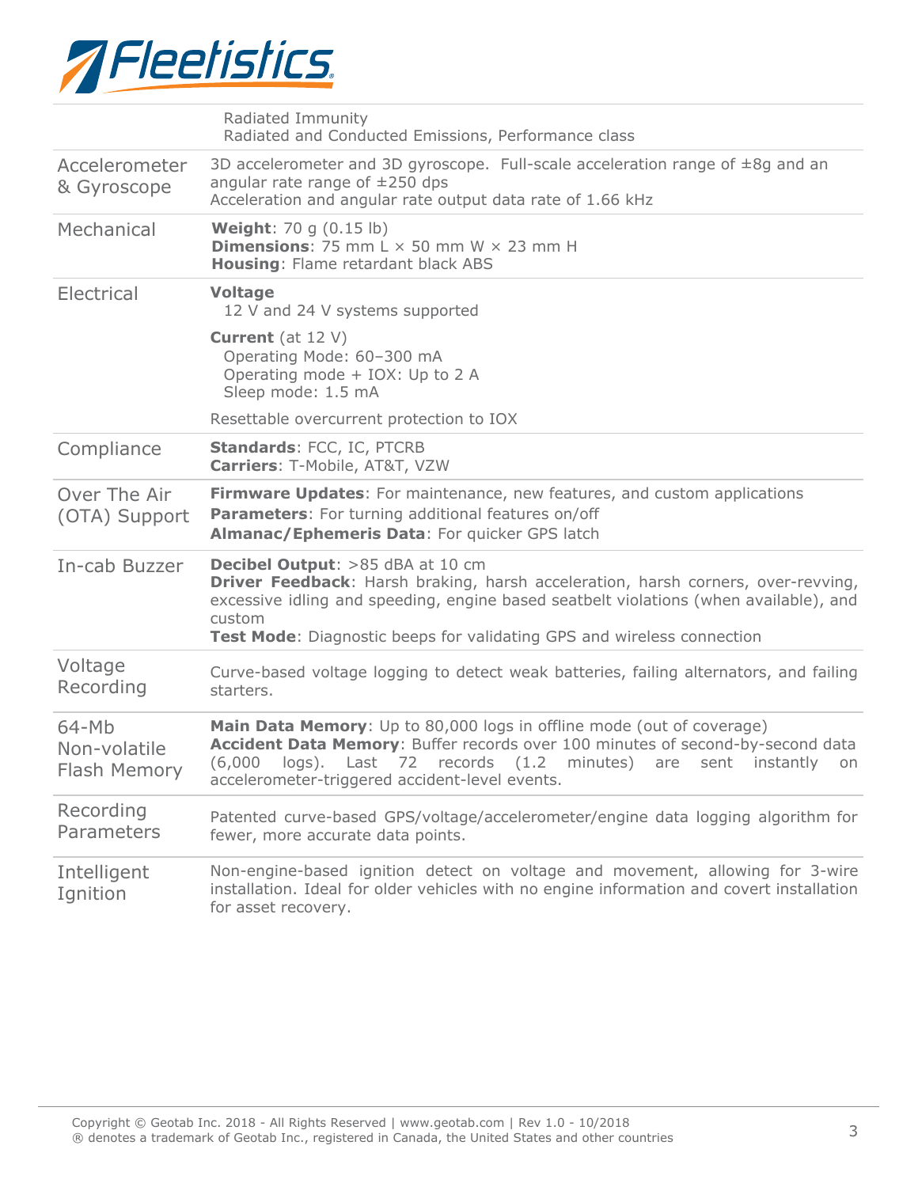

|                                         | Radiated Immunity<br>Radiated and Conducted Emissions, Performance class                                                                                                                                                                                                                                               |  |  |
|-----------------------------------------|------------------------------------------------------------------------------------------------------------------------------------------------------------------------------------------------------------------------------------------------------------------------------------------------------------------------|--|--|
| Accelerometer<br>& Gyroscope            | 3D accelerometer and 3D gyroscope. Full-scale acceleration range of $\pm 8g$ and an<br>angular rate range of $\pm 250$ dps<br>Acceleration and angular rate output data rate of 1.66 kHz                                                                                                                               |  |  |
| Mechanical                              | <b>Weight:</b> 70 g (0.15 lb)<br><b>Dimensions:</b> 75 mm $L \times 50$ mm W $\times$ 23 mm H<br><b>Housing: Flame retardant black ABS</b>                                                                                                                                                                             |  |  |
| Electrical                              | <b>Voltage</b><br>12 V and 24 V systems supported                                                                                                                                                                                                                                                                      |  |  |
|                                         | <b>Current</b> (at $12 \text{ V}$ )<br>Operating Mode: 60-300 mA<br>Operating mode + IOX: Up to 2 A<br>Sleep mode: 1.5 mA                                                                                                                                                                                              |  |  |
|                                         | Resettable overcurrent protection to IOX                                                                                                                                                                                                                                                                               |  |  |
| Compliance                              | Standards: FCC, IC, PTCRB<br>Carriers: T-Mobile, AT&T, VZW                                                                                                                                                                                                                                                             |  |  |
| Over The Air<br>(OTA) Support           | Firmware Updates: For maintenance, new features, and custom applications<br>Parameters: For turning additional features on/off<br>Almanac/Ephemeris Data: For quicker GPS latch                                                                                                                                        |  |  |
| In-cab Buzzer                           | <b>Decibel Output:</b> >85 dBA at 10 cm<br><b>Driver Feedback:</b> Harsh braking, harsh acceleration, harsh corners, over-revving,<br>excessive idling and speeding, engine based seatbelt violations (when available), and<br>custom<br><b>Test Mode:</b> Diagnostic beeps for validating GPS and wireless connection |  |  |
| Voltage<br>Recording                    | Curve-based voltage logging to detect weak batteries, failing alternators, and failing<br>starters.                                                                                                                                                                                                                    |  |  |
| $64-Mb$<br>Non-volatile<br>Flash Memory | Main Data Memory: Up to 80,000 logs in offline mode (out of coverage)<br>Accident Data Memory: Buffer records over 100 minutes of second-by-second data<br>Last 72 records (1.2 minutes)<br>$logS$ ).<br>instantly<br>(6,000)<br>are<br>sent<br>on<br>accelerometer-triggered accident-level events.                   |  |  |
| Recording<br>Parameters                 | Patented curve-based GPS/voltage/accelerometer/engine data logging algorithm for<br>fewer, more accurate data points.                                                                                                                                                                                                  |  |  |
| Intelligent<br>Ignition                 | Non-engine-based ignition detect on voltage and movement, allowing for 3-wire<br>installation. Ideal for older vehicles with no engine information and covert installation<br>for asset recovery.                                                                                                                      |  |  |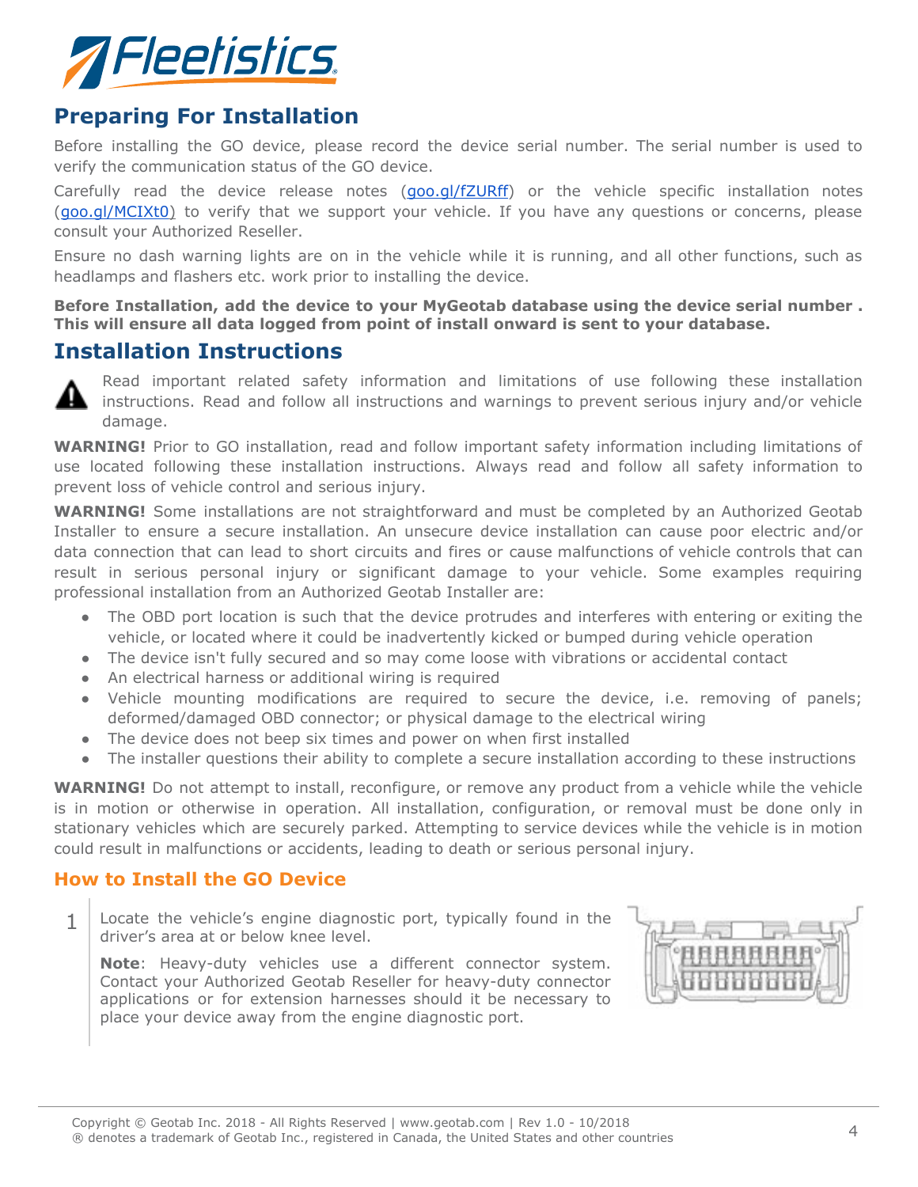

## **Preparing For Installation**

Before installing the GO device, please record the device serial number. The serial number is used to verify the communication status of the GO device.

Carefully read the device release notes (goo.gl/fZURff) or the vehicle specific installation notes (goo.gl/MCIXt0) to verify that we support your vehicle. If you have any questions or concerns, please consult your Authorized Reseller.

Ensure no dash warning lights are on in the vehicle while it is running, and all other functions, such as headlamps and flashers etc. work prior to installing the device.

**Before Installation, add the device to your MyGeotab database using the device serial number . This will ensure all data logged from point of install onward is sent to your database.**

## **Installation Instructions**



Read important related safety information and limitations of use following these installation instructions. Read and follow all instructions and warnings to prevent serious injury and/or vehicle damage.

**WARNING!** Prior to GO installation, read and follow important safety information including limitations of use located following these installation instructions. Always read and follow all safety information to prevent loss of vehicle control and serious injury.

**WARNING!** Some installations are not straightforward and must be completed by an Authorized Geotab Installer to ensure a secure installation. An unsecure device installation can cause poor electric and/or data connection that can lead to short circuits and fires or cause malfunctions of vehicle controls that can result in serious personal injury or significant damage to your vehicle. Some examples requiring professional installation from an Authorized Geotab Installer are:

- The OBD port location is such that the device protrudes and interferes with entering or exiting the vehicle, or located where it could be inadvertently kicked or bumped during vehicle operation
- The device isn't fully secured and so may come loose with vibrations or accidental contact
- An electrical harness or additional wiring is required
- Vehicle mounting modifications are required to secure the device, i.e. removing of panels; deformed/damaged OBD connector; or physical damage to the electrical wiring
- The device does not beep six times and power on when first installed
- The installer questions their ability to complete a secure installation according to these instructions

WARNING! Do not attempt to install, reconfigure, or remove any product from a vehicle while the vehicle is in motion or otherwise in operation. All installation, configuration, or removal must be done only in stationary vehicles which are securely parked. Attempting to service devices while the vehicle is in motion could result in malfunctions or accidents, leading to death or serious personal injury.

### **How to Install the GO Device**

1 Locate the vehicle's engine diagnostic port, typically found in the driver's area at or below knee level.

**Note**: Heavy-duty vehicles use a different connector system. Contact your Authorized Geotab Reseller for heavy-duty connector applications or for extension harnesses should it be necessary to place your device away from the engine diagnostic port.

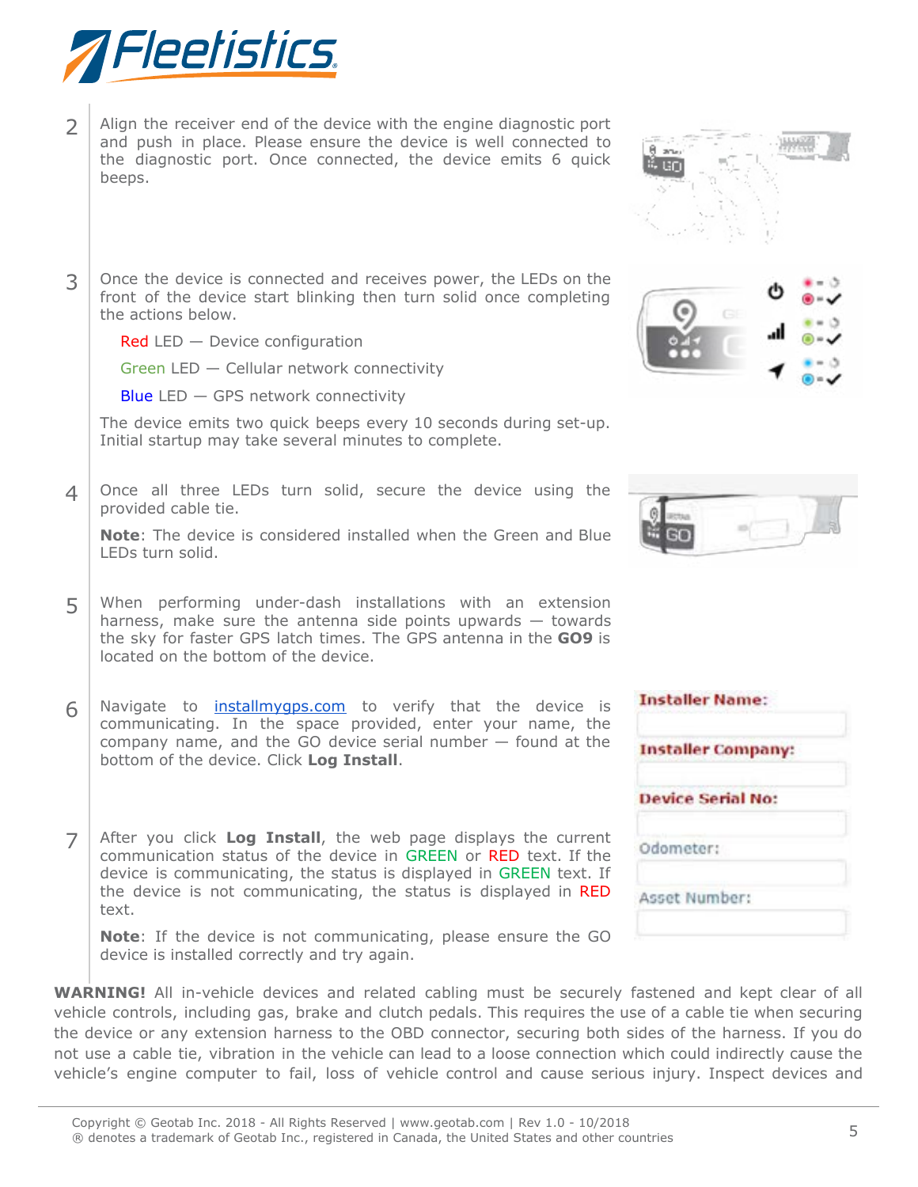

- $2$  Align the receiver end of the device with the engine diagnostic port and push in place. Please ensure the device is well connected to the diagnostic port. Once connected, the device emits 6 quick beeps.
- $3$  Once the device is connected and receives power, the LEDs on the front of the device start blinking then turn solid once completing the actions below.

Red LED - Device configuration

Green LED — Cellular network connectivity

Blue LED — GPS network connectivity

The device emits two quick beeps every 10 seconds during set-up. Initial startup may take several minutes to complete.

 $4$  Once all three LEDs turn solid, secure the device using the provided cable tie.

**Note**: The device is considered installed when the Green and Blue LEDs turn solid.

- 5 When performing under-dash installations with an extension harness, make sure the antenna side points upwards — towards the sky for faster GPS latch times. The GPS antenna in the **GO9** is located on the bottom of the device.
- $6 \mid$  Navigate to **installmygps.com** to verify that the device is communicating. In the space provided, enter your name, the company name, and the GO device serial number — found at the bottom of the device. Click **Log Install**.
- 7 After you click **Log Install**, the web page displays the current communication status of the device in GREEN or RED text. If the device is communicating, the status is displayed in GREEN text. If the device is not communicating, the status is displayed in RED text.

**Note**: If the device is not communicating, please ensure the GO device is installed correctly and try again.

**WARNING!** All in-vehicle devices and related cabling must be securely fastened and kept clear of all vehicle controls, including gas, brake and clutch pedals. This requires the use of a cable tie when securing the device or any extension harness to the OBD connector, securing both sides of the harness. If you do not use a cable tie, vibration in the vehicle can lead to a loose connection which could indirectly cause the vehicle's engine computer to fail, loss of vehicle control and cause serious injury. Inspect devices and







| <b>Installer Name:</b>    |  |
|---------------------------|--|
| <b>Installer Company:</b> |  |
| <b>Device Serial No:</b>  |  |
| Odometer:                 |  |
| Asset Number:             |  |